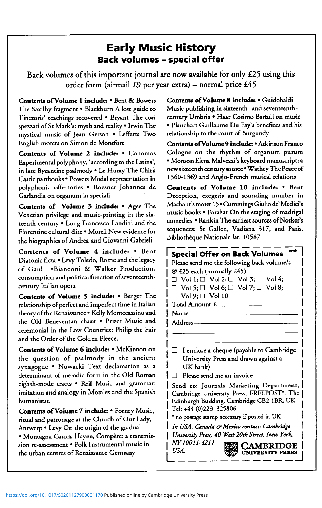## Early Music History Back volumes - special offer

**Back volumes of this important journal are now available for only £25 using this order form (airmail £9 per year extra) - normal price £45** 

**Contents of Volume 1 include:** • Bent & Bowers The Saxilby fragment • Blackburn A lost guide to Tinctoris' teachings recovered • Bryant The cori spezzati of St Mark's: myth and reality • Irwin The mystical music of Jean Gerson • Lefferts Two English motets on Simon de Montfort

**Contents of Volume** 2 **include:** • Conomos Experimental polyphony, 'according to the Latins', in late Byzantine psalmody • Le Huray The Chirk Castle partbooks • Powers Modal representation in polyphonic offertories • Roesncr Johannes de Garlandia on organum in spcciali

**Contents of Volume 3 include:** \* Agee The Venetian privilege and music-printing in the sixteenth century • Long Francesco Landini and the Florentine cultural élite • Morell New evidence for the biographies of Andrea and Giovanni Gabrieli

**Contents of Volume 4 include :** \* Bent Diatonic ficta • Levy Toledo, Rome and the legacy of Gaul .Bianconi & Walker Production, consumption and political function of seventeenthcentury Italian opera

**Contents of Volume 5 include:** • Berger The relationship of perfect and imperfect time in Italian theory of the Renaissance • Kelly Montecassino and the Old Beneventan chant • Prizer Music and ceremonial in the Low Countries: Philip the Fair and the Order of the Golden Fleece.

**Contents of Volume 6 include:** • McKinnon on the question of psalmody in the ancient synagogue • Nowacki Text declamation as a determinant of melodic form in the Old Roman eighth-mode tracts • Reif Music and grammar: imitation and analogy in Morales and the Spanish humanists!.

**Contents of Volume** 7 **include:** • Forney Music, ritual and patronage at the Church of Our Lady, Antwerp • Levy On the origin of the gradual • Montagna Caron, Hayne, Compere: a transmission re-assessment • Polk Instrumental music in the urban centres of Renaissance Germany

**Contents of Volume** 8 **include:** • Guidobaldi Music publishing in sixteenth- and seventeenthcentury Umbria • Haar Cosimo Bartoli on music • Planchart Guillaume Du Fay's benefices and his relationship to the court of Burgundy

**Contents ofVolume 9 include:** • Atkinson Franco Cologne on the rhythm of organum purum • Monson Elena Malvezzi's keyboard manuscript: a newsixteenth century source • Wathey The Peace of 1360-1369 and Anglo-French musical relations

Contents of Volume 10 include: • Bent Deception, exegesis and sounding number in Machaut's motet 15 · Cummings Giuliode' Medici's music books \* Farahat On the staging of madrigal comedies • Rankin The earliest sources of Notker's sequences: St Gallen, Vadiana 317, and Paris, Bibliothèque Nationale lat. 10587

## $\mathsf I$  Special Offer on Back Volumes  $^{\mathsf I}$ Please send me the following back volume/s @ £25 each (normally £45):  $\Box$  Vol 1;  $\Box$  Vol 2;  $\Box$  Vol 3;  $\Box$  Vol 4;  $\Box$  Vol 5;  $\Box$  Vol 6;  $\Box$  Vol 7;  $\Box$  Vol 8;  $\Box$  Vol 9;  $\Box$  Vol 10 Total Amount £ Name Address- $\Box$  I enclose a cheque (payable to Cambridge University Press and drawn against a UK bank)  $\Box$  Please send me an invoice Send to: Journals Marketing Department, Cambridge University Press, FREEPOST\*. The Edinburgh Building, Cambridge CB2 1BR, UK. Tel: +44 (0)223 325806 \* no postage stamp necessary if posted in UK *In USA, Cantula & Mexico contact: Cambridge University Press, 40 West 20th Street, New York,*  mwollen, **gm CAMBRIDGE**  - **UNIVERSITY PRESS**

**• j** 

**J** UbA